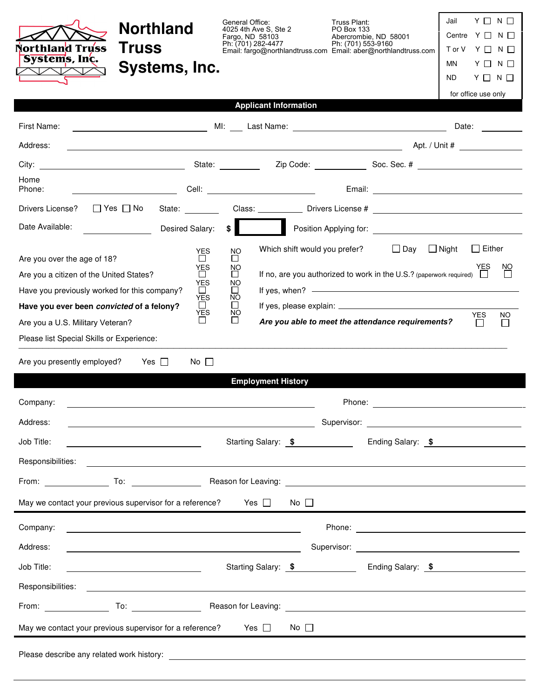| <b>Northland</b><br>Northland Truss<br><b>Truss</b><br>Systems, Inc.<br>Systems, Inc.<br>ヽレ╱ヽ\╱                                                                                                                                |                                                               | General Office:<br>Fargo, ND 58103<br>Ph: (701) 282-4477          |                              |              | Truss Plant:<br>PO Box 133<br>Ph: (701) 553-9160 | Abercrombie, ND 58001<br>Email: fargo@northlandtruss.com Email: aber@northlandtruss.com                                      | $Y \Box N \Box$<br>Jail<br>Centre $Y \square N \square$<br>Tor V Y □ N □<br>MN<br>$Y \Box N \Box$<br>$Y \Box N \Box$<br>ND.<br>for office use only                                                                             |
|--------------------------------------------------------------------------------------------------------------------------------------------------------------------------------------------------------------------------------|---------------------------------------------------------------|-------------------------------------------------------------------|------------------------------|--------------|--------------------------------------------------|------------------------------------------------------------------------------------------------------------------------------|--------------------------------------------------------------------------------------------------------------------------------------------------------------------------------------------------------------------------------|
|                                                                                                                                                                                                                                |                                                               |                                                                   | <b>Applicant Information</b> |              |                                                  |                                                                                                                              |                                                                                                                                                                                                                                |
| MI: Last Name: 2008 2009 2010 2010 2010 2011 2012 2021 2031 2040 2041 205 206 207 208 209 2010 2011 2012 2014<br>First Name:<br>Address:                                                                                       |                                                               |                                                                   |                              |              |                                                  |                                                                                                                              | Date:                                                                                                                                                                                                                          |
|                                                                                                                                                                                                                                |                                                               |                                                                   |                              |              |                                                  |                                                                                                                              |                                                                                                                                                                                                                                |
| Home                                                                                                                                                                                                                           |                                                               |                                                                   |                              |              |                                                  |                                                                                                                              |                                                                                                                                                                                                                                |
| Phone:                                                                                                                                                                                                                         |                                                               |                                                                   |                              |              |                                                  |                                                                                                                              |                                                                                                                                                                                                                                |
| $\Box$ Yes $\Box$ No<br>Drivers License?                                                                                                                                                                                       |                                                               |                                                                   |                              |              |                                                  |                                                                                                                              | State: Class: Class: Drivers License # 2000 Class: Class: Class: Class: Class: Class: Class: Class: Class: Class: Class: Class: Class: Class: Class: Class: Class: Class: Class: Class: Class: Class: Class: Class: Class: Cla |
| Date Available:                                                                                                                                                                                                                | Desired Salary:                                               |                                                                   |                              |              |                                                  |                                                                                                                              | \$                                                                                                                                                                                                                             |
| Are you over the age of 18?<br>Are you a citizen of the United States?<br>Have you previously worked for this company?                                                                                                         | <b>YES</b><br>$\Box$<br><b>YES</b><br>$\Box$<br>YES<br>$\Box$ | <b>NO</b><br>$\mathsf{L}$<br>NO<br>$\perp$<br>NO<br>$\perp$<br>ΝO |                              |              |                                                  | Which shift would you prefer? $\Box$ Day $\Box$ Night<br>If no, are you authorized to work in the U.S.? (paperwork required) | $\Box$ Either<br><u>NO</u><br>YES<br>If yes, when? $\overline{\phantom{a}}$                                                                                                                                                    |
| Have you ever been convicted of a felony?<br>Are you a U.S. Military Veteran?<br>Please list Special Skills or Experience:                                                                                                     | <b>YES</b><br>$\Box$<br><b>YES</b><br>$\Box$                  |                                                                   |                              |              |                                                  | Are you able to meet the attendance requirements?                                                                            | <b>YES</b><br><b>NO</b><br>$\mathbf{L}$<br>$\perp$                                                                                                                                                                             |
| Are you presently employed?<br>Yes $\Box$<br>Company:<br>Address:<br><u> 2002 - Johann Barnett, fransk politiker (d. 1982)</u>                                                                                                 | $No \Box$                                                     |                                                                   | <b>Employment History</b>    |              | Phone:                                           |                                                                                                                              |                                                                                                                                                                                                                                |
| Job Title:<br><u> 1989 - Johann Barbara, martin amerikan personal (</u>                                                                                                                                                        |                                                               |                                                                   |                              |              | Starting Salary: \$                              |                                                                                                                              | Ending Salary: \$                                                                                                                                                                                                              |
| Responsibilities: Proposition of the contract of the contract of the contract of the contract of the contract of the contract of the contract of the contract of the contract of the contract of the contract of the contract  |                                                               |                                                                   |                              |              |                                                  |                                                                                                                              |                                                                                                                                                                                                                                |
| From: To: To: Reason for Leaving: To: Reason for Leaving: The Contract of Australian Contract of Australian Contract of Australian Contract of Australian Contract of Australian Contract of Australian Contract of Australian |                                                               |                                                                   |                              |              |                                                  |                                                                                                                              |                                                                                                                                                                                                                                |
| May we contact your previous supervisor for a reference? Yes $\Box$                                                                                                                                                            |                                                               |                                                                   |                              | No $\square$ |                                                  |                                                                                                                              |                                                                                                                                                                                                                                |
| Company:<br>Address:<br><u> 1989 - Johann Barn, fransk politik (d. 1989)</u>                                                                                                                                                   |                                                               |                                                                   |                              |              |                                                  |                                                                                                                              |                                                                                                                                                                                                                                |
| Job Title:                                                                                                                                                                                                                     |                                                               |                                                                   |                              |              |                                                  |                                                                                                                              |                                                                                                                                                                                                                                |
|                                                                                                                                                                                                                                |                                                               |                                                                   |                              |              |                                                  |                                                                                                                              |                                                                                                                                                                                                                                |
|                                                                                                                                                                                                                                |                                                               |                                                                   |                              |              |                                                  |                                                                                                                              |                                                                                                                                                                                                                                |
| May we contact your previous supervisor for a reference? Yes $\Box$                                                                                                                                                            |                                                               |                                                                   |                              | No $\square$ |                                                  |                                                                                                                              |                                                                                                                                                                                                                                |
|                                                                                                                                                                                                                                |                                                               |                                                                   |                              |              |                                                  |                                                                                                                              |                                                                                                                                                                                                                                |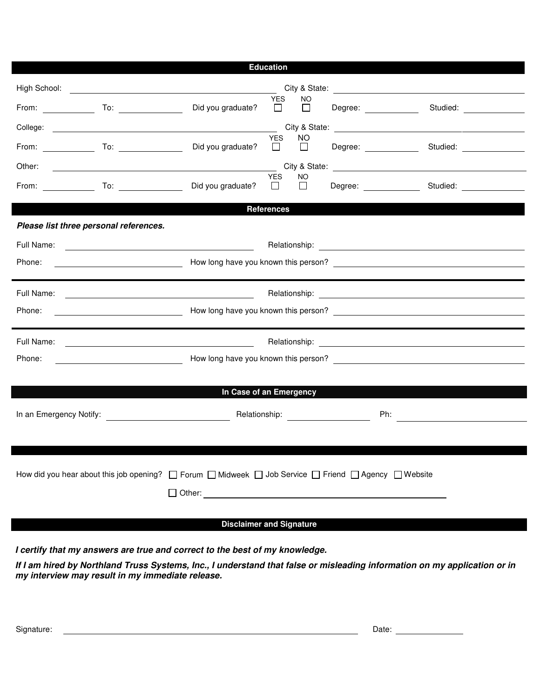| <b>Education</b>                                                                                                                                                                                                                     |                                                                                                                                                                                                                                |                                                                                                   |  |                                                                                                                                                                                                                                     |  |  |  |  |
|--------------------------------------------------------------------------------------------------------------------------------------------------------------------------------------------------------------------------------------|--------------------------------------------------------------------------------------------------------------------------------------------------------------------------------------------------------------------------------|---------------------------------------------------------------------------------------------------|--|-------------------------------------------------------------------------------------------------------------------------------------------------------------------------------------------------------------------------------------|--|--|--|--|
|                                                                                                                                                                                                                                      |                                                                                                                                                                                                                                |                                                                                                   |  |                                                                                                                                                                                                                                     |  |  |  |  |
|                                                                                                                                                                                                                                      | Did you graduate?                                                                                                                                                                                                              | <b>YES</b><br><b>NO</b><br>$\begin{array}{ccc} \square & \square & \square & \square \end{array}$ |  | Degree: Studied:                                                                                                                                                                                                                    |  |  |  |  |
|                                                                                                                                                                                                                                      |                                                                                                                                                                                                                                | <b>YES</b><br>NO                                                                                  |  | City & State: <u>contract and the state of</u> the state of the state of the state of the state of the state of the state of the state of the state of the state of the state of the state of the state of the state of the state o |  |  |  |  |
|                                                                                                                                                                                                                                      | Did you graduate? $\Box$ $\Box$                                                                                                                                                                                                |                                                                                                   |  | Degree: Studied:                                                                                                                                                                                                                    |  |  |  |  |
| Other:                                                                                                                                                                                                                               |                                                                                                                                                                                                                                |                                                                                                   |  |                                                                                                                                                                                                                                     |  |  |  |  |
|                                                                                                                                                                                                                                      |                                                                                                                                                                                                                                | <b>YES</b><br>NO.                                                                                 |  |                                                                                                                                                                                                                                     |  |  |  |  |
| <b>References</b>                                                                                                                                                                                                                    |                                                                                                                                                                                                                                |                                                                                                   |  |                                                                                                                                                                                                                                     |  |  |  |  |
| Please list three personal references.                                                                                                                                                                                               |                                                                                                                                                                                                                                |                                                                                                   |  |                                                                                                                                                                                                                                     |  |  |  |  |
| Full Name: <u>Contract of the Contract of Contract of The Contract of The Contract of The Contract of The Contract of The Contract of The Contract of The Contract of The Contract of The Contract of The Contract of The Contra</u> |                                                                                                                                                                                                                                |                                                                                                   |  |                                                                                                                                                                                                                                     |  |  |  |  |
|                                                                                                                                                                                                                                      |                                                                                                                                                                                                                                |                                                                                                   |  |                                                                                                                                                                                                                                     |  |  |  |  |
| Full Name:                                                                                                                                                                                                                           |                                                                                                                                                                                                                                |                                                                                                   |  |                                                                                                                                                                                                                                     |  |  |  |  |
|                                                                                                                                                                                                                                      | Move long have you known this person? Network and the state of the state of the state of the state of the state of the state of the state of the state of the state of the state of the state of the state of the state of the |                                                                                                   |  |                                                                                                                                                                                                                                     |  |  |  |  |
| Phone:                                                                                                                                                                                                                               |                                                                                                                                                                                                                                |                                                                                                   |  |                                                                                                                                                                                                                                     |  |  |  |  |
|                                                                                                                                                                                                                                      |                                                                                                                                                                                                                                |                                                                                                   |  |                                                                                                                                                                                                                                     |  |  |  |  |
| Phone:                                                                                                                                                                                                                               | Mow long have you known this person? Network and the contract of the contract of the contract of the contract of the contract of the contract of the contract of the contract of the contract of the contract of the contract  |                                                                                                   |  |                                                                                                                                                                                                                                     |  |  |  |  |
| In Case of an Emergency                                                                                                                                                                                                              |                                                                                                                                                                                                                                |                                                                                                   |  |                                                                                                                                                                                                                                     |  |  |  |  |
|                                                                                                                                                                                                                                      |                                                                                                                                                                                                                                |                                                                                                   |  |                                                                                                                                                                                                                                     |  |  |  |  |
|                                                                                                                                                                                                                                      |                                                                                                                                                                                                                                |                                                                                                   |  |                                                                                                                                                                                                                                     |  |  |  |  |
|                                                                                                                                                                                                                                      |                                                                                                                                                                                                                                |                                                                                                   |  |                                                                                                                                                                                                                                     |  |  |  |  |
|                                                                                                                                                                                                                                      |                                                                                                                                                                                                                                |                                                                                                   |  |                                                                                                                                                                                                                                     |  |  |  |  |
| How did you hear about this job opening?  □ Forum  □ Midweek □ Job Service □ Friend □ Agency □ Website                                                                                                                               |                                                                                                                                                                                                                                |                                                                                                   |  |                                                                                                                                                                                                                                     |  |  |  |  |
|                                                                                                                                                                                                                                      |                                                                                                                                                                                                                                |                                                                                                   |  |                                                                                                                                                                                                                                     |  |  |  |  |
| $\Box$ Other:                                                                                                                                                                                                                        |                                                                                                                                                                                                                                |                                                                                                   |  |                                                                                                                                                                                                                                     |  |  |  |  |
| <b>Disclaimer and Signature</b>                                                                                                                                                                                                      |                                                                                                                                                                                                                                |                                                                                                   |  |                                                                                                                                                                                                                                     |  |  |  |  |
|                                                                                                                                                                                                                                      |                                                                                                                                                                                                                                |                                                                                                   |  |                                                                                                                                                                                                                                     |  |  |  |  |

**I certify that my answers are true and correct to the best of my knowledge.** 

**If I am hired by Northland Truss Systems, Inc., I understand that false or misleading information on my application or in my interview may result in my immediate release.**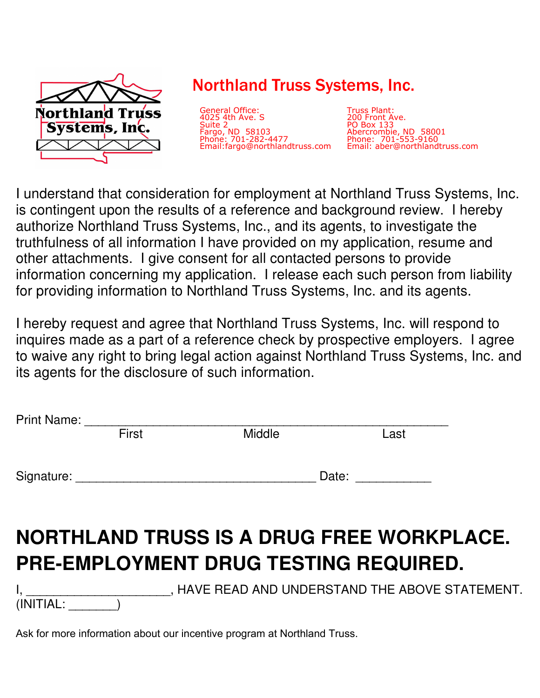

## Northland Truss Systems, Inc.

General Office: 4025 4th Ave. S Suite 2 Fargo, ND 58103 Phone: 701-282-4477 Email:fargo@northlandtruss.com

Truss Plant: 200 Front Ave. PO Box 133 Abercrombie, ND 58001 Phone: 701-553-9160 Email: aber@northlandtruss.com

I understand that consideration for employment at Northland Truss Systems, Inc. is contingent upon the results of a reference and background review. I hereby authorize Northland Truss Systems, Inc., and its agents, to investigate the truthfulness of all information I have provided on my application, resume and other attachments. I give consent for all contacted persons to provide information concerning my application. I release each such person from liability for providing information to Northland Truss Systems, Inc. and its agents.

I hereby request and agree that Northland Truss Systems, Inc. will respond to inquires made as a part of a reference check by prospective employers. I agree to waive any right to bring legal action against Northland Truss Systems, Inc. and its agents for the disclosure of such information.

| Print Name: ________ |       |                                              |                  |                                                  |
|----------------------|-------|----------------------------------------------|------------------|--------------------------------------------------|
|                      | First | <b>Middle</b>                                |                  | Last                                             |
|                      |       |                                              |                  |                                                  |
|                      |       |                                              | Date: __________ |                                                  |
|                      |       |                                              |                  |                                                  |
|                      |       |                                              |                  |                                                  |
|                      |       |                                              |                  | <b>NORTHLAND TRUSS IS A DRUG FREE WORKPLACE.</b> |
|                      |       | <b>PRE-EMPLOYMENT DRUG TESTING REQUIRED.</b> |                  |                                                  |
|                      |       |                                              |                  |                                                  |
|                      |       |                                              |                  | HAVE READ AND UNDERSTAND THE ABOVE STATEMENT.    |
| (INITIAL:            |       |                                              |                  |                                                  |

Ask for more information about our incentive program at Northland Truss.